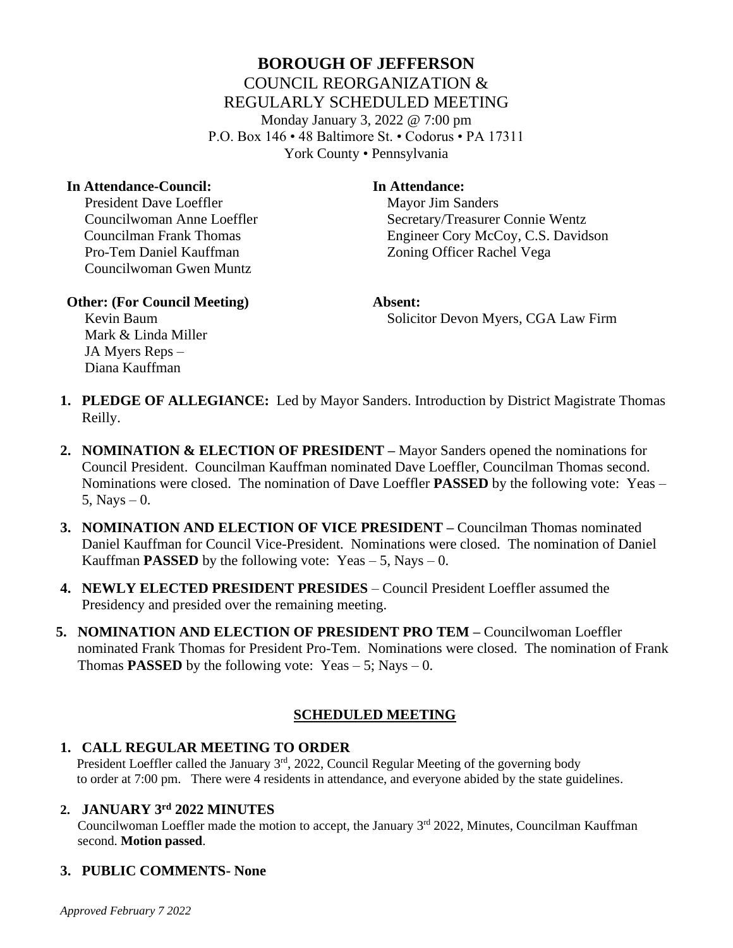# **BOROUGH OF JEFFERSON** COUNCIL REORGANIZATION & REGULARLY SCHEDULED MEETING Monday January 3, 2022 @ 7:00 pm P.O. Box 146 • 48 Baltimore St. • Codorus • PA 17311 York County • Pennsylvania

#### **In Attendance-Council: In Attendance:**

President Dave Loeffler Mayor Jim Sanders Pro-Tem Daniel Kauffman Zoning Officer Rachel Vega Councilwoman Gwen Muntz

Councilwoman Anne Loeffler Secretary/Treasurer Connie Wentz Councilman Frank Thomas Engineer Cory McCoy, C.S. Davidson

#### **Other: (For Council Meeting) Absent:**

**Kevin Baum** Solicitor Devon Myers, CGA Law Firm

 Mark & Linda Miller JA Myers Reps – Diana Kauffman

- **1. PLEDGE OF ALLEGIANCE:** Led by Mayor Sanders. Introduction by District Magistrate Thomas Reilly.
- **2. NOMINATION & ELECTION OF PRESIDENT –** Mayor Sanders opened the nominations for Council President. Councilman Kauffman nominated Dave Loeffler, Councilman Thomas second. Nominations were closed. The nomination of Dave Loeffler **PASSED** by the following vote: Yeas – 5, Nays  $-0$ .
- **3. NOMINATION AND ELECTION OF VICE PRESIDENT –** Councilman Thomas nominated Daniel Kauffman for Council Vice-President. Nominations were closed. The nomination of Daniel Kauffman **PASSED** by the following vote: Yeas  $-5$ , Nays  $-0$ .
- **4. NEWLY ELECTED PRESIDENT PRESIDES** Council President Loeffler assumed the Presidency and presided over the remaining meeting.
- **5. NOMINATION AND ELECTION OF PRESIDENT PRO TEM –** Councilwoman Loeffler nominated Frank Thomas for President Pro-Tem. Nominations were closed. The nomination of Frank Thomas **PASSED** by the following vote:  $Yeas - 5$ ; Nays – 0.

# **SCHEDULED MEETING**

# **1. CALL REGULAR MEETING TO ORDER**

President Loeffler called the January 3<sup>rd</sup>, 2022, Council Regular Meeting of the governing body to order at 7:00 pm. There were 4 residents in attendance, and everyone abided by the state guidelines.

#### **2. JANUARY 3rd 2022 MINUTES**

Councilwoman Loeffler made the motion to accept, the January  $3<sup>rd</sup>$  2022, Minutes, Councilman Kauffman second. **Motion passed**.

# **3. PUBLIC COMMENTS- None**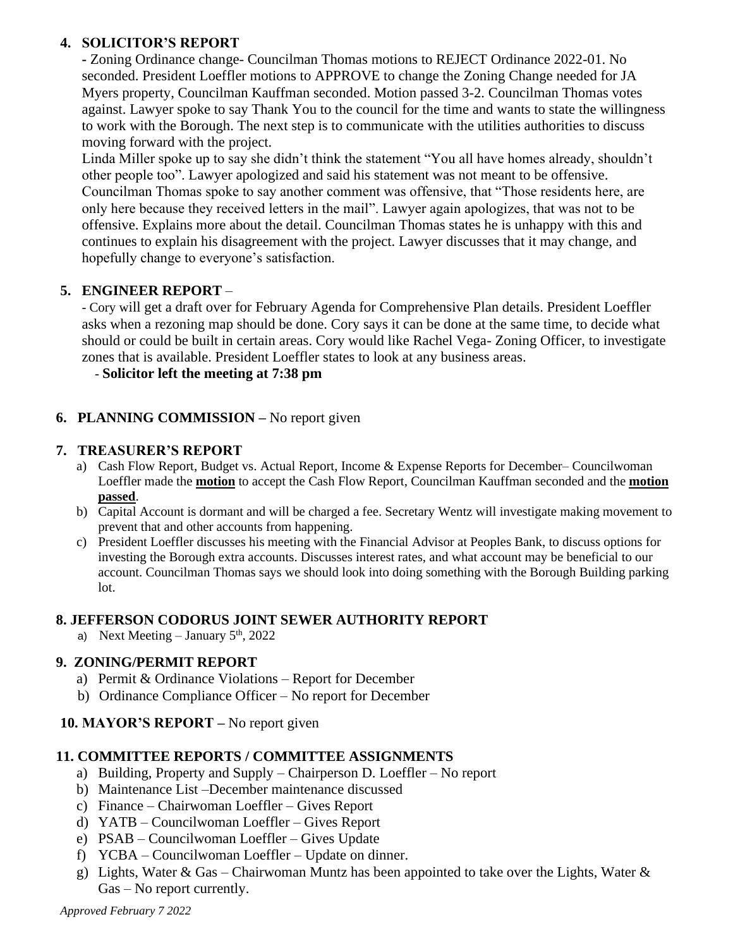# **4. SOLICITOR'S REPORT**

**-** Zoning Ordinance change- Councilman Thomas motions to REJECT Ordinance 2022-01. No seconded. President Loeffler motions to APPROVE to change the Zoning Change needed for JA Myers property, Councilman Kauffman seconded. Motion passed 3-2. Councilman Thomas votes against. Lawyer spoke to say Thank You to the council for the time and wants to state the willingness to work with the Borough. The next step is to communicate with the utilities authorities to discuss moving forward with the project.

Linda Miller spoke up to say she didn't think the statement "You all have homes already, shouldn't other people too". Lawyer apologized and said his statement was not meant to be offensive. Councilman Thomas spoke to say another comment was offensive, that "Those residents here, are only here because they received letters in the mail". Lawyer again apologizes, that was not to be offensive. Explains more about the detail. Councilman Thomas states he is unhappy with this and continues to explain his disagreement with the project. Lawyer discusses that it may change, and hopefully change to everyone's satisfaction.

# **5. ENGINEER REPORT** –

- Cory will get a draft over for February Agenda for Comprehensive Plan details. President Loeffler asks when a rezoning map should be done. Cory says it can be done at the same time, to decide what should or could be built in certain areas. Cory would like Rachel Vega- Zoning Officer, to investigate zones that is available. President Loeffler states to look at any business areas.

- **Solicitor left the meeting at 7:38 pm**

# **6. PLANNING COMMISSION –** No report given

#### **7. TREASURER'S REPORT**

- a) Cash Flow Report, Budget vs. Actual Report, Income & Expense Reports for December– Councilwoman Loeffler made the **motion** to accept the Cash Flow Report, Councilman Kauffman seconded and the **motion passed**.
- b) Capital Account is dormant and will be charged a fee. Secretary Wentz will investigate making movement to prevent that and other accounts from happening.
- c) President Loeffler discusses his meeting with the Financial Advisor at Peoples Bank, to discuss options for investing the Borough extra accounts. Discusses interest rates, and what account may be beneficial to our account. Councilman Thomas says we should look into doing something with the Borough Building parking lot.

#### **8. JEFFERSON CODORUS JOINT SEWER AUTHORITY REPORT**

a) Next Meeting – January  $5<sup>th</sup>$ , 2022

# **9. ZONING/PERMIT REPORT**

- a) Permit & Ordinance Violations Report for December
- b) Ordinance Compliance Officer No report for December

# **10. MAYOR'S REPORT –** No report given

# **11. COMMITTEE REPORTS / COMMITTEE ASSIGNMENTS**

- a) Building, Property and Supply Chairperson D. Loeffler No report
- b) Maintenance List –December maintenance discussed
- c) Finance Chairwoman Loeffler Gives Report
- d) YATB Councilwoman Loeffler Gives Report
- e) PSAB Councilwoman Loeffler Gives Update
- f) YCBA Councilwoman Loeffler Update on dinner.
- g) Lights, Water & Gas Chairwoman Muntz has been appointed to take over the Lights, Water & Gas – No report currently.